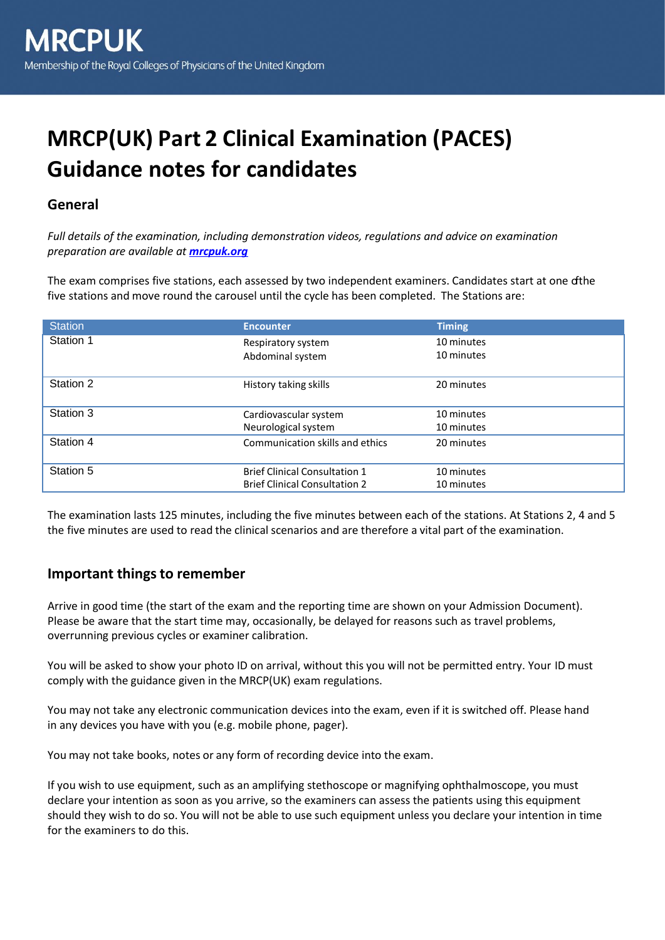# **MRCP(UK) Part 2 Clinical Examination (PACES) Guidance notes for candidates**

## **General**

*Full details of the examination, including demonstration videos, regulations and advice on examination preparation are available at [mrcpuk.org](http://www.mrcpuk.org/)*

The exam comprises five stations, each assessed by two independent examiners. Candidates start at one of the five stations and move round the carousel until the cycle has been completed. The Stations are:

| <b>Station</b> | <b>Encounter</b>                     | <b>Timing</b> |
|----------------|--------------------------------------|---------------|
| Station 1      | Respiratory system                   | 10 minutes    |
|                | Abdominal system                     | 10 minutes    |
|                |                                      |               |
| Station 2      | History taking skills                | 20 minutes    |
|                |                                      |               |
| Station 3      | Cardiovascular system                | 10 minutes    |
|                | Neurological system                  | 10 minutes    |
| Station 4      | Communication skills and ethics      | 20 minutes    |
|                |                                      |               |
| Station 5      | <b>Brief Clinical Consultation 1</b> | 10 minutes    |
|                | <b>Brief Clinical Consultation 2</b> | 10 minutes    |

The examination lasts 125 minutes, including the five minutes between each of the stations. At Stations 2, 4 and 5 the five minutes are used to read the clinical scenarios and are therefore a vital part of the examination.

#### **Important things to remember**

Arrive in good time (the start of the exam and the reporting time are shown on your Admission Document). Please be aware that the start time may, occasionally, be delayed for reasons such as travel problems, overrunning previous cycles or examiner calibration.

You will be asked to show your photo ID on arrival, without this you will not be permitted entry. Your ID must comply with the guidance given in the MRCP(UK) exam regulations.

You may not take any electronic communication devices into the exam, even if it is switched off. Please hand in any devices you have with you (e.g. mobile phone, pager).

You may not take books, notes or any form of recording device into the exam.

If you wish to use equipment, such as an amplifying stethoscope or magnifying ophthalmoscope, you must declare your intention as soon as you arrive, so the examiners can assess the patients using this equipment should they wish to do so. You will not be able to use such equipment unless you declare your intention in time for the examiners to do this.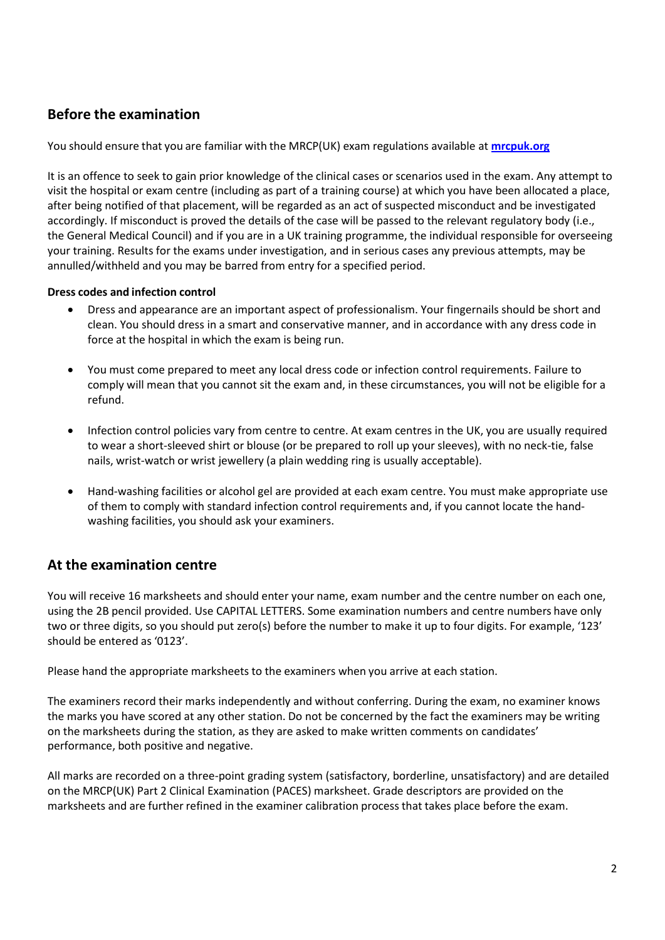## **Before the examination**

You should ensure that you are familiar with the MRCP(UK) exam regulations available at **[mrcpuk.org](https://www.mrcpuk.org/mrcpuk-examinations/regulations)**

It is an offence to seek to gain prior knowledge of the clinical cases or scenarios used in the exam. Any attempt to visit the hospital or exam centre (including as part of a training course) at which you have been allocated a place, after being notified of that placement, will be regarded as an act of suspected misconduct and be investigated accordingly. If misconduct is proved the details of the case will be passed to the relevant regulatory body (i.e., the General Medical Council) and if you are in a UK training programme, the individual responsible for overseeing your training. Results for the exams under investigation, and in serious cases any previous attempts, may be annulled/withheld and you may be barred from entry for a specified period.

#### **Dress codes and infection control**

- Dress and appearance are an important aspect of professionalism. Your fingernails should be short and clean. You should dress in a smart and conservative manner, and in accordance with any dress code in force at the hospital in which the exam is being run.
- You must come prepared to meet any local dress code or infection control requirements. Failure to comply will mean that you cannot sit the exam and, in these circumstances, you will not be eligible for a refund.
- Infection control policies vary from centre to centre. At exam centres in the UK, you are usually required to wear a short-sleeved shirt or blouse (or be prepared to roll up your sleeves), with no neck-tie, false nails, wrist-watch or wrist jewellery (a plain wedding ring is usually acceptable).
- Hand-washing facilities or alcohol gel are provided at each exam centre. You must make appropriate use of them to comply with standard infection control requirements and, if you cannot locate the handwashing facilities, you should ask your examiners.

## **At the examination centre**

You will receive 16 marksheets and should enter your name, exam number and the centre number on each one, using the 2B pencil provided. Use CAPITAL LETTERS. Some examination numbers and centre numbers have only two or three digits, so you should put zero(s) before the number to make it up to four digits. For example, '123' should be entered as '0123'.

Please hand the appropriate marksheets to the examiners when you arrive at each station.

The examiners record their marks independently and without conferring. During the exam, no examiner knows the marks you have scored at any other station. Do not be concerned by the fact the examiners may be writing on the marksheets during the station, as they are asked to make written comments on candidates' performance, both positive and negative.

All marks are recorded on a three-point grading system (satisfactory, borderline, unsatisfactory) and are detailed on the MRCP(UK) Part 2 Clinical Examination (PACES) marksheet. Grade descriptors are provided on the marksheets and are further refined in the examiner calibration process that takes place before the exam.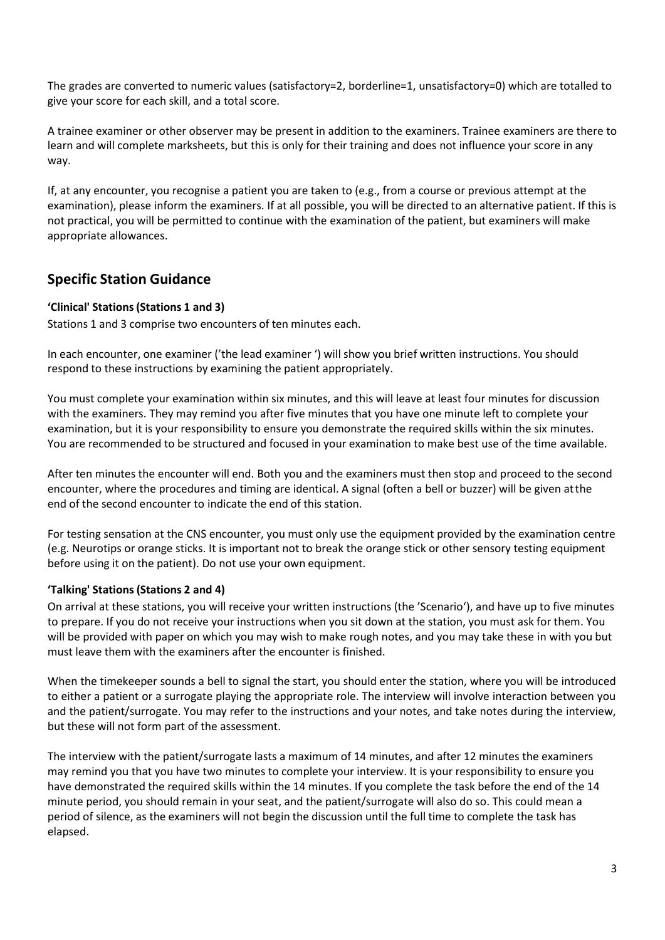The grades are converted to numeric values (satisfactory=2, borderline=1, unsatisfactory=0) which are totalled to give your score for each skill, and a total score.

A trainee examiner or other observer may be present in addition to the examiners. Trainee examiners are there to learn and will complete marksheets, but this is only for their training and does not influence your score in any way.

If, at any encounter, you recognise a patient you are taken to (e.g., from a course or previous attempt at the examination), please inform the examiners. If at all possible, you will be directed to an alternative patient. If this is not practical, you will be permitted to continue with the examination of the patient, but examiners will make appropriate allowances.

## **Specific Station Guidance**

#### **'Clinical' Stations(Stations 1 and 3)**

Stations 1 and 3 comprise two encounters of ten minutes each.

In each encounter, one examiner ('the lead examiner ') will show you brief written instructions. You should respond to these instructions by examining the patient appropriately.

You must complete your examination within six minutes, and this will leave at least four minutes for discussion with the examiners. They may remind you after five minutes that you have one minute left to complete your examination, but it is your responsibility to ensure you demonstrate the required skills within the six minutes. You are recommended to be structured and focused in your examination to make best use of the time available.

After ten minutes the encounter will end. Both you and the examiners must then stop and proceed to the second encounter, where the procedures and timing are identical. A signal (often a bell or buzzer) will be given at the end of the second encounter to indicate the end of this station.

For testing sensation at the CNS encounter, you must only use the equipment provided by the examination centre (e.g. Neurotips or orange sticks. It is important not to break the orange stick or other sensory testing equipment before using it on the patient). Do not use your own equipment.

#### **'Talking' Stations (Stations 2 and 4)**

On arrival at these stations, you will receive your written instructions (the 'Scenario'), and have up to five minutes to prepare. If you do not receive your instructions when you sit down at the station, you must ask for them. You will be provided with paper on which you may wish to make rough notes, and you may take these in with you but must leave them with the examiners after the encounter is finished.

When the timekeeper sounds a bell to signal the start, you should enter the station, where you will be introduced to either a patient or a surrogate playing the appropriate role. The interview will involve interaction between you and the patient/surrogate. You may refer to the instructions and your notes, and take notes during the interview, but these will not form part of the assessment.

The interview with the patient/surrogate lasts a maximum of 14 minutes, and after 12 minutes the examiners may remind you that you have two minutes to complete your interview. It is your responsibility to ensure you have demonstrated the required skills within the 14 minutes. If you complete the task before the end of the 14 minute period, you should remain in your seat, and the patient/surrogate will also do so. This could mean a period of silence, as the examiners will not begin the discussion until the full time to complete the task has elapsed.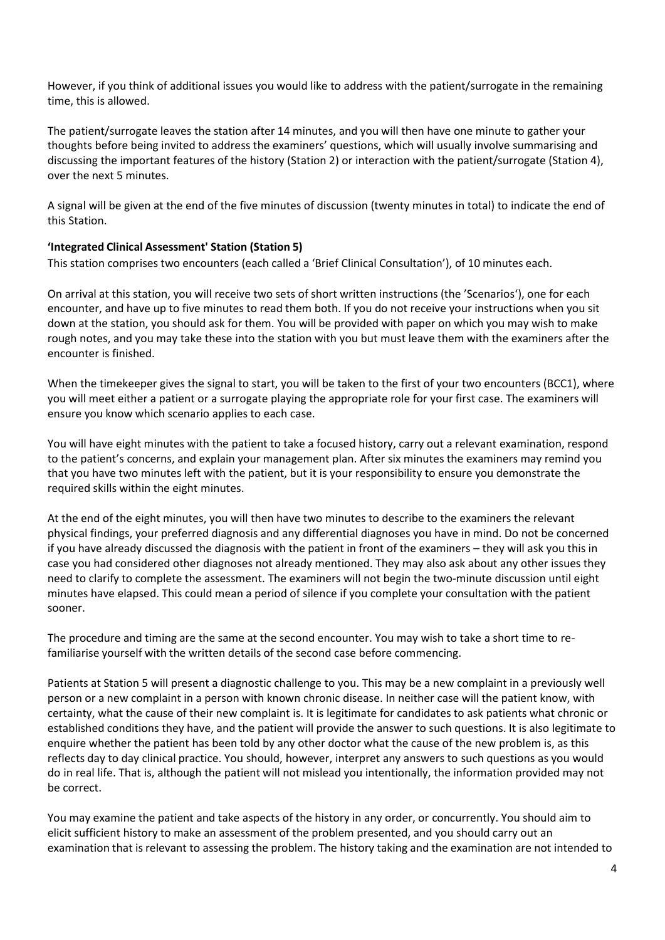However, if you think of additional issues you would like to address with the patient/surrogate in the remaining time, this is allowed.

The patient/surrogate leaves the station after 14 minutes, and you will then have one minute to gather your thoughts before being invited to address the examiners' questions, which will usually involve summarising and discussing the important features of the history (Station 2) or interaction with the patient/surrogate (Station 4), over the next 5 minutes.

A signal will be given at the end of the five minutes of discussion (twenty minutes in total) to indicate the end of this Station.

#### **'Integrated Clinical Assessment' Station (Station 5)**

This station comprises two encounters (each called a 'Brief Clinical Consultation'), of 10 minutes each.

On arrival at this station, you will receive two sets of short written instructions (the 'Scenarios'), one for each encounter, and have up to five minutes to read them both. If you do not receive your instructions when you sit down at the station, you should ask for them. You will be provided with paper on which you may wish to make rough notes, and you may take these into the station with you but must leave them with the examiners after the encounter is finished.

When the timekeeper gives the signal to start, you will be taken to the first of your two encounters (BCC1), where you will meet either a patient or a surrogate playing the appropriate role for your first case. The examiners will ensure you know which scenario applies to each case.

You will have eight minutes with the patient to take a focused history, carry out a relevant examination, respond to the patient's concerns, and explain your management plan. After six minutes the examiners may remind you that you have two minutes left with the patient, but it is your responsibility to ensure you demonstrate the required skills within the eight minutes.

At the end of the eight minutes, you will then have two minutes to describe to the examiners the relevant physical findings, your preferred diagnosis and any differential diagnoses you have in mind. Do not be concerned if you have already discussed the diagnosis with the patient in front of the examiners – they will ask you this in case you had considered other diagnoses not already mentioned. They may also ask about any other issues they need to clarify to complete the assessment. The examiners will not begin the two-minute discussion until eight minutes have elapsed. This could mean a period of silence if you complete your consultation with the patient sooner.

The procedure and timing are the same at the second encounter. You may wish to take a short time to refamiliarise yourself with the written details of the second case before commencing.

Patients at Station 5 will present a diagnostic challenge to you. This may be a new complaint in a previously well person or a new complaint in a person with known chronic disease. In neither case will the patient know, with certainty, what the cause of their new complaint is. It is legitimate for candidates to ask patients what chronic or established conditions they have, and the patient will provide the answer to such questions. It is also legitimate to enquire whether the patient has been told by any other doctor what the cause of the new problem is, as this reflects day to day clinical practice. You should, however, interpret any answers to such questions as you would do in real life. That is, although the patient will not mislead you intentionally, the information provided may not be correct.

You may examine the patient and take aspects of the history in any order, or concurrently. You should aim to elicit sufficient history to make an assessment of the problem presented, and you should carry out an examination that is relevant to assessing the problem. The history taking and the examination are not intended to